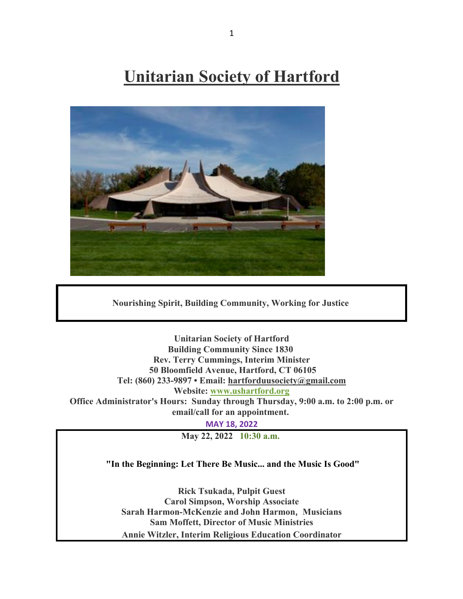# **Unitarian Society of Hartford**



**Nourishing Spirit, Building Community, Working for Justice**

**Unitarian Society of Hartford Building Community Since 1830 Rev. Terry Cummings, Interim Minister 50 Bloomfield Avenue, Hartford, CT 06105 Tel: (860) 233-9897 • Email: hartforduusociety@gmail.com Website: www.ushartford.org Office Administrator's Hours: Sunday through Thursday, 9:00 a.m. to 2:00 p.m. or email/call for an appointment.**

**MAY 18, 2022**

**May 22, 2022 10:30 a.m.**

### **"In the Beginning: Let There Be Music... and the Music Is Good"**

**Rick Tsukada, Pulpit Guest Carol Simpson, Worship Associate Sarah Harmon-McKenzie and John Harmon, Musicians Sam Moffett, Director of Music Ministries Annie Witzler, Interim Religious Education Coordinator**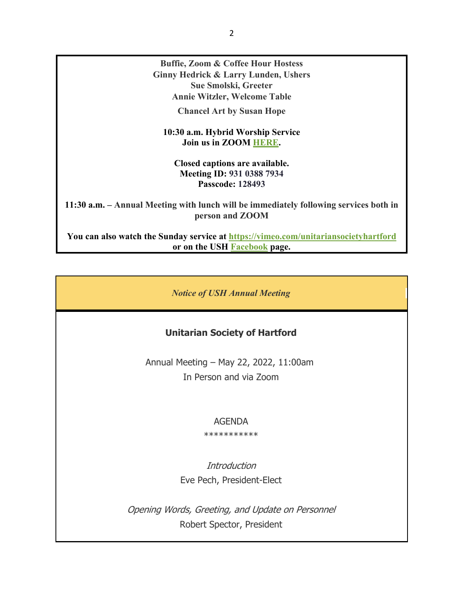**Buffie, Zoom & Coffee Hour Hostess Ginny Hedrick & Larry Lunden, Ushers Sue Smolski, Greeter Annie Witzler, Welcome Table**

**Chancel Art by Susan Hope**

**10:30 a.m. Hybrid Worship Service Join us in ZOOM HERE.**

**Closed captions are available. Meeting ID: 931 0388 7934 Passcode: 128493**

**11:30 a.m. – Annual Meeting with lunch will be immediately following services both in person and ZOOM**

**You can also watch the Sunday service at https://vimeo.com/unitariansocietyhartford or on the USH Facebook page.**

*Notice of USH Annual Meeting*

## **Unitarian Society of Hartford**

Annual Meeting – May 22, 2022, 11:00am In Person and via Zoom

#### AGENDA

\*\*\*\*\*\*\*\*\*\*\*

**Introduction** Eve Pech, President-Elect

Opening Words, Greeting, and Update on Personnel Robert Spector, President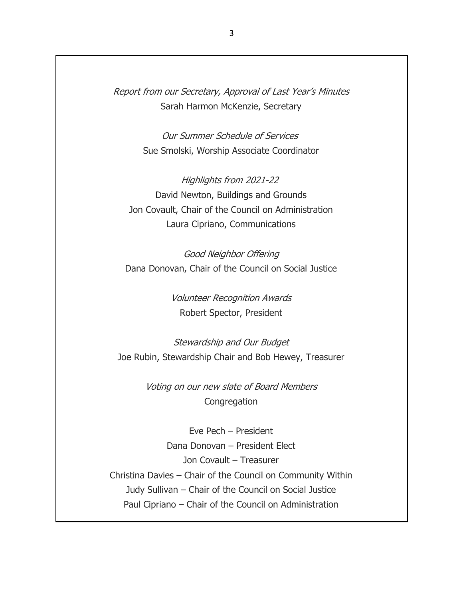Report from our Secretary, Approval of Last Year's Minutes Sarah Harmon McKenzie, Secretary

> Our Summer Schedule of Services Sue Smolski, Worship Associate Coordinator

Highlights from 2021-22 David Newton, Buildings and Grounds Jon Covault, Chair of the Council on Administration Laura Cipriano, Communications

Good Neighbor Offering Dana Donovan, Chair of the Council on Social Justice

> Volunteer Recognition Awards Robert Spector, President

Stewardship and Our Budget Joe Rubin, Stewardship Chair and Bob Hewey, Treasurer

> Voting on our new slate of Board Members **Congregation**

Eve Pech – President Dana Donovan – President Elect Jon Covault – Treasurer Christina Davies – Chair of the Council on Community Within Judy Sullivan – Chair of the Council on Social Justice Paul Cipriano – Chair of the Council on Administration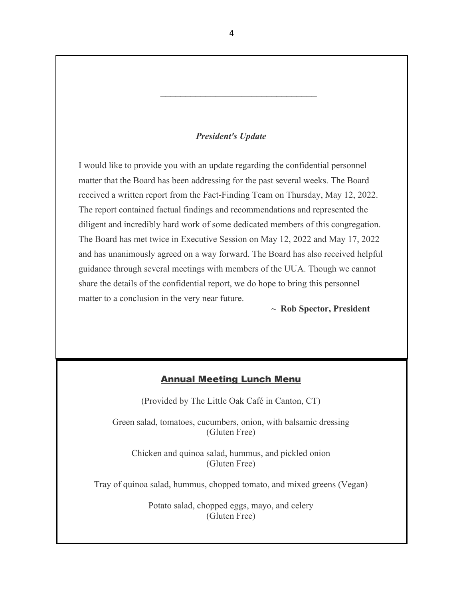#### *President's Update*

\_\_\_\_\_\_\_\_\_\_\_\_\_\_\_\_\_\_\_\_\_\_\_\_\_\_\_\_\_\_\_

I would like to provide you with an update regarding the confidential personnel matter that the Board has been addressing for the past several weeks. The Board received a written report from the Fact-Finding Team on Thursday, May 12, 2022. The report contained factual findings and recommendations and represented the diligent and incredibly hard work of some dedicated members of this congregation. The Board has met twice in Executive Session on May 12, 2022 and May 17, 2022 and has unanimously agreed on a way forward. The Board has also received helpful guidance through several meetings with members of the UUA. Though we cannot share the details of the confidential report, we do hope to bring this personnel matter to a conclusion in the very near future.

**~ Rob Spector, President**

# Annual Meeting Lunch Menu

(Provided by The Little Oak Café in Canton, CT)

Green salad, tomatoes, cucumbers, onion, with balsamic dressing (Gluten Free)

Chicken and quinoa salad, hummus, and pickled onion (Gluten Free)

Tray of quinoa salad, hummus, chopped tomato, and mixed greens (Vegan)

Potato salad, chopped eggs, mayo, and celery (Gluten Free)

4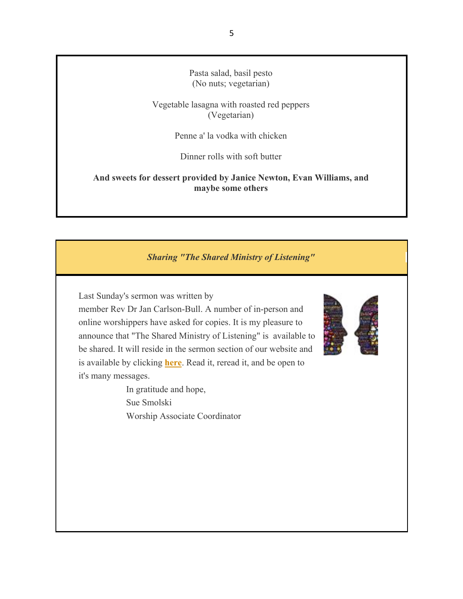Pasta salad, basil pesto (No nuts; vegetarian)

Vegetable lasagna with roasted red peppers (Vegetarian)

Penne a' la vodka with chicken

Dinner rolls with soft butter

**And sweets for dessert provided by Janice Newton, Evan Williams, and maybe some others**

#### *Sharing "The Shared Ministry of Listening"*

Last Sunday's sermon was written by

member Rev Dr Jan Carlson-Bull. A number of in-person and online worshippers have asked for copies. It is my pleasure to announce that "The Shared Ministry of Listening" is available to be shared. It will reside in the sermon section of our website and is available by clicking **here**. Read it, reread it, and be open to it's many messages.

> In gratitude and hope, Sue Smolski Worship Associate Coordinator

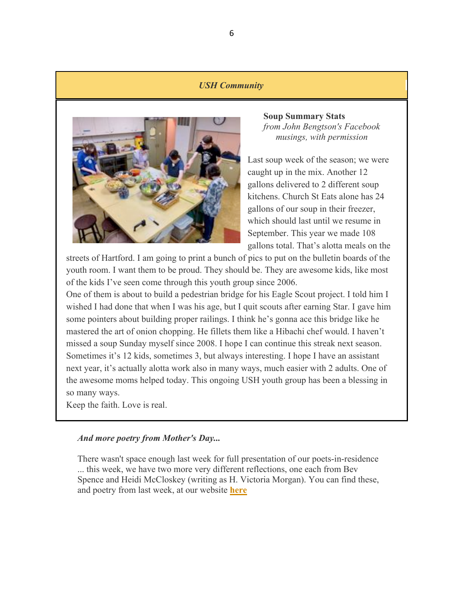#### *USH Community*



**Soup Summary Stats** *from John Bengtson's Facebook musings, with permission*

Last soup week of the season; we were caught up in the mix. Another 12 gallons delivered to 2 different soup kitchens. Church St Eats alone has 24 gallons of our soup in their freezer, which should last until we resume in September. This year we made 108 gallons total. That's alotta meals on the

streets of Hartford. I am going to print a bunch of pics to put on the bulletin boards of the youth room. I want them to be proud. They should be. They are awesome kids, like most of the kids I've seen come through this youth group since 2006.

One of them is about to build a pedestrian bridge for his Eagle Scout project. I told him I wished I had done that when I was his age, but I quit scouts after earning Star. I gave him some pointers about building proper railings. I think he's gonna ace this bridge like he mastered the art of onion chopping. He fillets them like a Hibachi chef would. I haven't missed a soup Sunday myself since 2008. I hope I can continue this streak next season. Sometimes it's 12 kids, sometimes 3, but always interesting. I hope I have an assistant next year, it's actually alotta work also in many ways, much easier with 2 adults. One of the awesome moms helped today. This ongoing USH youth group has been a blessing in so many ways.

Keep the faith. Love is real.

#### *And more poetry from Mother's Day...*

There wasn't space enough last week for full presentation of our poets-in-residence ... this week, we have two more very different reflections, one each from Bev Spence and Heidi McCloskey (writing as H. Victoria Morgan). You can find these, and poetry from last week, at our website **here**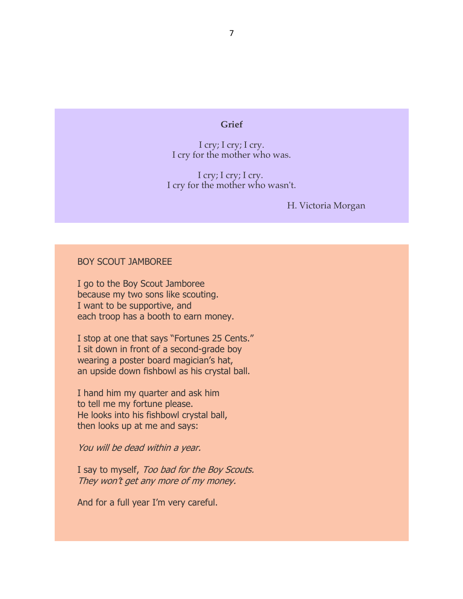#### **Grief**

I cry; I cry; I cry. I cry for the mother who was.

I cry; I cry; I cry. I cry for the mother who wasn't.

H. Victoria Morgan

#### BOY SCOUT JAMBOREE

I go to the Boy Scout Jamboree because my two sons like scouting. I want to be supportive, and each troop has a booth to earn money.

I stop at one that says "Fortunes 25 Cents." I sit down in front of a second-grade boy wearing a poster board magician's hat, an upside down fishbowl as his crystal ball.

I hand him my quarter and ask him to tell me my fortune please. He looks into his fishbowl crystal ball, then looks up at me and says:

You will be dead within a year.

I say to myself, Too bad for the Boy Scouts. They won't get any more of my money.

And for a full year I'm very careful.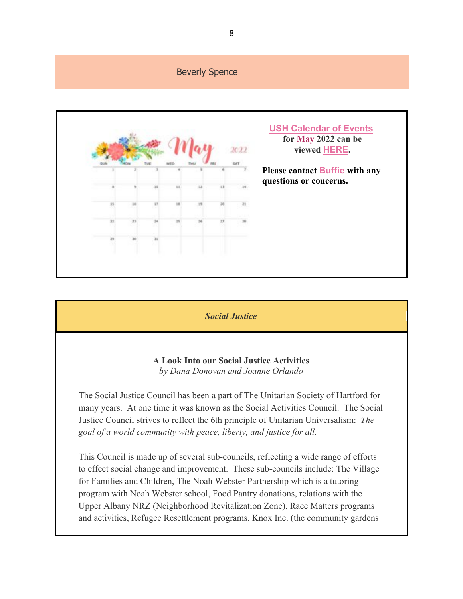

*Social Justice*

**A Look Into our Social Justice Activities** *by Dana Donovan and Joanne Orlando*

The Social Justice Council has been a part of The Unitarian Society of Hartford for many years. At one time it was known as the Social Activities Council. The Social Justice Council strives to reflect the 6th principle of Unitarian Universalism: *The goal of a world community with peace, liberty, and justice for all.*

This Council is made up of several sub-councils, reflecting a wide range of efforts to effect social change and improvement. These sub-councils include: The Village for Families and Children, The Noah Webster Partnership which is a tutoring program with Noah Webster school, Food Pantry donations, relations with the Upper Albany NRZ (Neighborhood Revitalization Zone), Race Matters programs and activities, Refugee Resettlement programs, Knox Inc. (the community gardens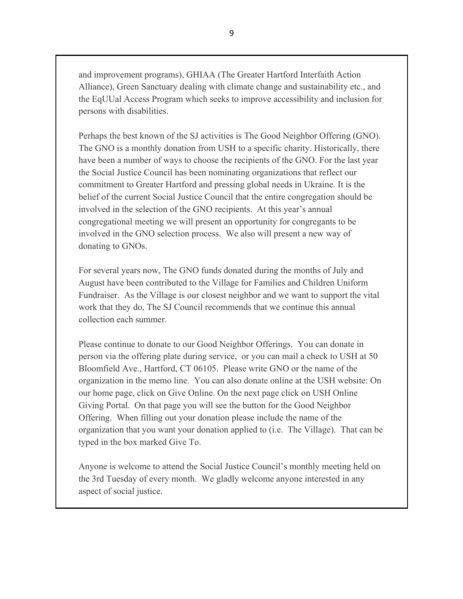and improvement programs), GHIAA (The Greater Hartford Interfaith Action Alliance), Green Sanctuary dealing with climate change and sustainability etc., and the EqUUal Access Program which seeks to improve accessibility and inclusion for persons with disabilities.

Perhaps the best known of the SJ activities is The Good Neighbor Offering (GNO). The GNO is a monthly donation from USH to a specific charity. Historically, there have been a number of ways to choose the recipients of the GNO. For the last year the Social Justice Council has been nominating organizations that reflect our commitment to Greater Hartford and pressing global needs in Ukraine. It is the belief of the current Social Justice Council that the entire congregation should be involved in the selection of the GNO recipients. At this year's annual congregational meeting we will present an opportunity for congregants to be involved in the GNO selection process. We also will present a new way of donating to GNOs.

For several years now, The GNO funds donated during the months of July and August have been contributed to the Village for Families and Children Uniform Fundraiser. As the Village is our closest neighbor and we want to support the vital work that they do, The SJ Council recommends that we continue this annual collection each summer.

Please continue to donate to our Good Neighbor Offerings. You can donate in person via the offering plate during service, or you can mail a check to USH at 50 Bloomfield Ave., Hartford, CT 06105. Please write GNO or the name of the organization in the memo line. You can also donate online at the USH website: On our home page, click on Give Online. On the next page click on USH Online Giving Portal. On that page you will see the button for the Good Neighbor Offering. When filling out your donation please include the name of the organization that you want your donation applied to (i.e. The Village). That can be typed in the box marked Give To.

Anyone is welcome to attend the Social Justice Council's monthly meeting held on the 3rd Tuesday of every month. We gladly welcome anyone interested in any aspect of social justice.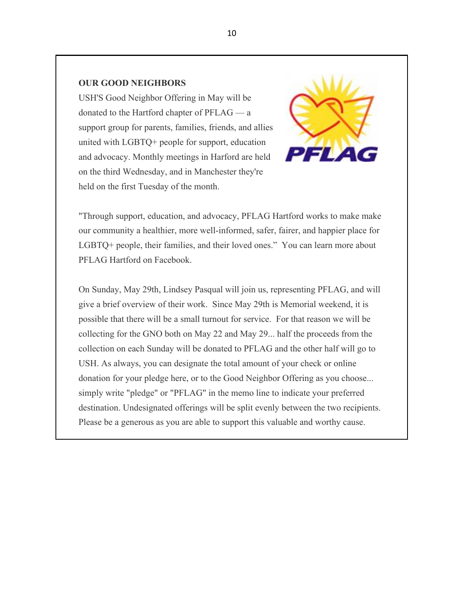## **OUR GOOD NEIGHBORS**

USH'S Good Neighbor Offering in May will be donated to the Hartford chapter of PFLAG — a support group for parents, families, friends, and allies united with LGBTQ+ people for support, education and advocacy. Monthly meetings in Harford are held on the third Wednesday, and in Manchester they're held on the first Tuesday of the month.



"Through support, education, and advocacy, PFLAG Hartford works to make make our community a healthier, more well-informed, safer, fairer, and happier place for LGBTQ+ people, their families, and their loved ones." You can learn more about PFLAG Hartford on Facebook.

On Sunday, May 29th, Lindsey Pasqual will join us, representing PFLAG, and will give a brief overview of their work. Since May 29th is Memorial weekend, it is possible that there will be a small turnout for service. For that reason we will be collecting for the GNO both on May 22 and May 29... half the proceeds from the collection on each Sunday will be donated to PFLAG and the other half will go to USH. As always, you can designate the total amount of your check or online donation for your pledge here, or to the Good Neighbor Offering as you choose... simply write "pledge" or "PFLAG" in the memo line to indicate your preferred destination. Undesignated offerings will be split evenly between the two recipients. Please be a generous as you are able to support this valuable and worthy cause.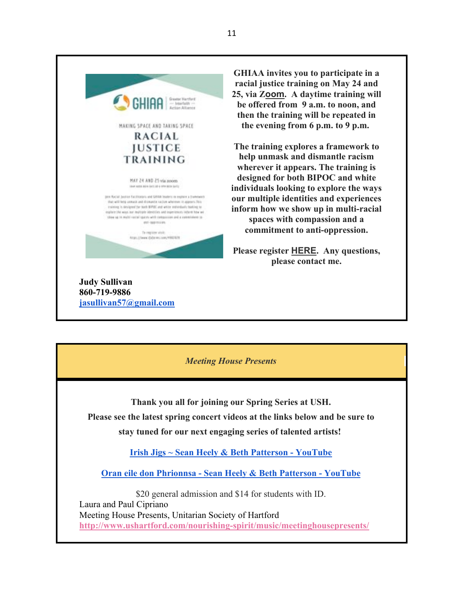

**GHIAA invites you to participate in a racial justice training on May 24 and 25, via Zoom. A daytime training will be offered from 9 a.m. to noon, and then the training will be repeated in the evening from 6 p.m. to 9 p.m.**

**The training explores a framework to help unmask and dismantle racism wherever it appears. The training is designed for both BIPOC and white individuals looking to explore the ways our multiple identities and experiences inform how we show up in multi-racial spaces with compassion and a commitment to anti-oppression.**

**Please register HERE. Any questions, please contact me.**

*Meeting House Presents*

**Thank you all for joining our Spring Series at USH. Please see the latest spring concert videos at the links below and be sure to stay tuned for our next engaging series of talented artists!**

**Irish Jigs ~ Sean Heely & Beth Patterson - YouTube**

**Oran eile don Phrionnsa - Sean Heely & Beth Patterson - YouTube**

\$20 general admission and \$14 for students with ID. Laura and Paul Cipriano Meeting House Presents, Unitarian Society of Hartford **http://www.ushartford.com/nourishing-spirit/music/meetinghousepresents/**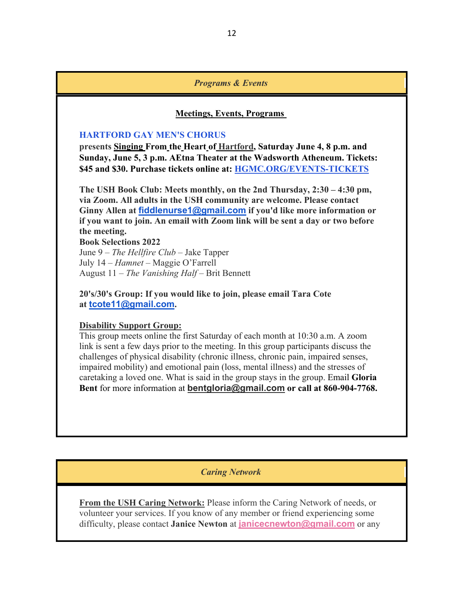#### *Programs & Events*

#### **Meetings, Events, Programs**

#### **HARTFORD GAY MEN'S CHORUS**

**presents Singing From the Heart of Hartford, Saturday June 4, 8 p.m. and Sunday, June 5, 3 p.m. AEtna Theater at the Wadsworth Atheneum. Tickets: \$45 and \$30. Purchase tickets online at: HGMC.ORG/EVENTS-TICKETS**

**The USH Book Club: Meets monthly, on the 2nd Thursday, 2:30 – 4:30 pm, via Zoom. All adults in the USH community are welcome. Please contact Ginny Allen at fiddlenurse1@gmail.com if you'd like more information or if you want to join. An email with Zoom link will be sent a day or two before the meeting.**

#### **Book Selections 2022**

June 9 – *The Hellfire Club* – Jake Tapper July 14 – *Hamnet* – Maggie O'Farrell August 11 – *The Vanishing Half* – Brit Bennett

**20's/30's Group: If you would like to join, please email Tara Cote at tcote11@gmail.com.**

#### **Disability Support Group:**

This group meets online the first Saturday of each month at 10:30 a.m. A zoom link is sent a few days prior to the meeting. In this group participants discuss the challenges of physical disability (chronic illness, chronic pain, impaired senses, impaired mobility) and emotional pain (loss, mental illness) and the stresses of caretaking a loved one. What is said in the group stays in the group. Email **Gloria Bent** for more information at **bentgloria@gmail.com or call at 860-904-7768.**

*Caring Network*

**From the USH Caring Network:** Please inform the Caring Network of needs, or volunteer your services. If you know of any member or friend experiencing some difficulty, please contact **Janice Newton** at **janicecnewton@gmail.com** or any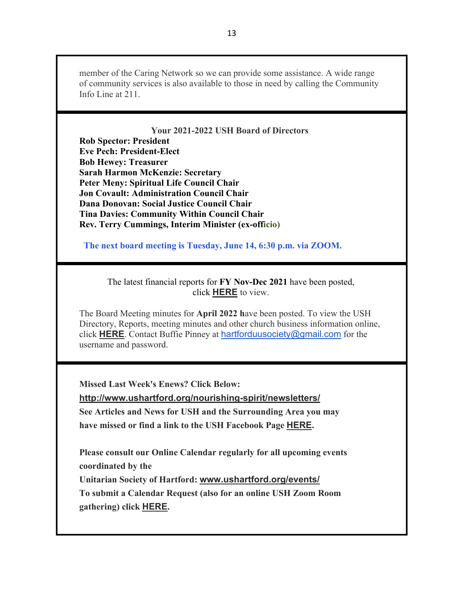member of the Caring Network so we can provide some assistance. A wide range of community services is also available to those in need by calling the Community Info Line at 211.

**Your 2021-2022 USH Board of Directors Rob Spector: President Eve Pech: President-Elect Bob Hewey: Treasurer Sarah Harmon McKenzie: Secretary Peter Meny: Spiritual Life Council Chair Jon Covault: Administration Council Chair Dana Donovan: Social Justice Council Chair Tina Davies: Community Within Council Chair Rev. Terry Cummings, Interim Minister (ex-officio)**

 **The next board meeting is Tuesday, June 14, 6:30 p.m. via ZOOM.**

The latest financial reports for **FY Nov-Dec 2021** have been posted, click **HERE** to view.

The Board Meeting minutes for **April 2022 h**ave been posted. To view the USH Directory, Reports, meeting minutes and other church business information online, click **HERE**. Contact Buffie Pinney at hartforduusociety@gmail.com for the username and password.

**Missed Last Week's Enews? Click Below:**

**http://www.ushartford.org/nourishing-spirit/newsletters/ See Articles and News for USH and the Surrounding Area you may have missed or find a link to the USH Facebook Page HERE.**

**Please consult our Online Calendar regularly for all upcoming events coordinated by the**

**Unitarian Society of Hartford: www.ushartford.org/events/**

**To submit a Calendar Request (also for an online USH Zoom Room gathering) click HERE.**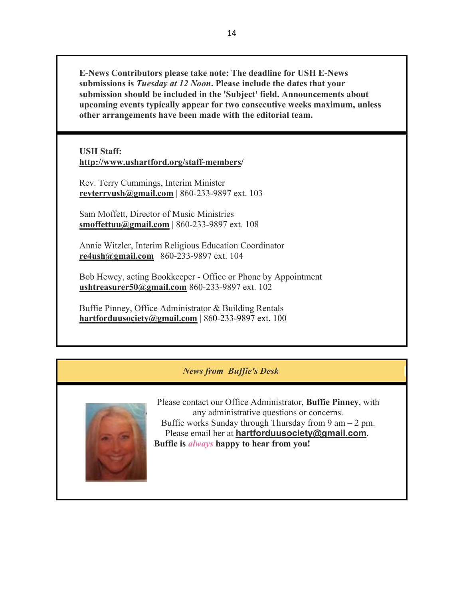**E-News Contributors please take note: The deadline for USH E-News submissions is** *Tuesday at 12 Noon***. Please include the dates that your submission should be included in the 'Subject' field. Announcements about upcoming events typically appear for two consecutive weeks maximum, unless other arrangements have been made with the editorial team.**

**USH Staff: http://www.ushartford.org/staff-members/**

Rev. Terry Cummings, Interim Minister **revterryush@gmail.com** | 860-233-9897 ext. 103

Sam Moffett, Director of Music Ministries **smoffettuu@gmail.com** | 860-233-9897 ext. 108

Annie Witzler, Interim Religious Education Coordinator **re4ush@gmail.com** | 860-233-9897 ext. 104

Bob Hewey, acting Bookkeeper - Office or Phone by Appointment **ushtreasurer50@gmail.com** 860-233-9897 ext. 102

Buffie Pinney, Office Administrator & Building Rentals **hartforduusociety@gmail.com** | 860-233-9897 ext. 100

# *News from Buffie's Desk*



Please contact our Office Administrator, **Buffie Pinney**, with any administrative questions or concerns. Buffie works Sunday through Thursday from  $9 \text{ am} - 2 \text{ pm}$ . Please email her at **hartforduusociety@gmail.com**. **Buffie is** *always* **happy to hear from you!**